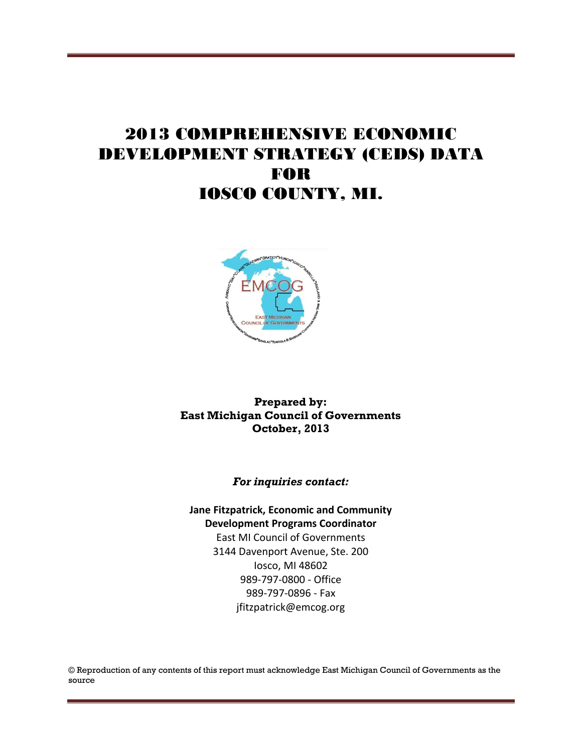# 2013 COMPREHENSIVE ECONOMIC DEVELOPMENT STRATEGY (CEDS) DATA FOR IOSCO COUNTY, MI.



#### **Prepared by: East Michigan Council of Governments October, 2013**

#### *For inquiries contact:*

#### **Jane Fitzpatrick, Economic and Community Development Programs Coordinator** East MI Council of Governments

3144 Davenport Avenue, Ste. 200 Iosco, MI 48602 989-797-0800 - Office 989-797-0896 - Fax jfitzpatrick@emcog.org

© Reproduction of any contents of this report must acknowledge East Michigan Council of Governments as the source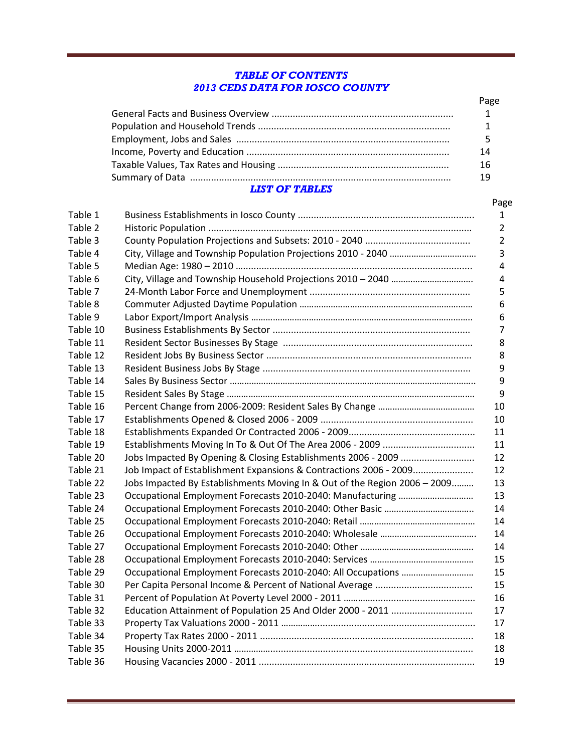#### *TABLE OF CONTENTS 2013 CEDS DATA FOR IOSCO COUNTY*

|                | Page |
|----------------|------|
|                | 1    |
|                |      |
|                |      |
|                | 14   |
|                | 16   |
|                | 19   |
| 1197 ор Тлогрс |      |

#### *LIST OF TABLES*

| Table 1  |                                                                           |
|----------|---------------------------------------------------------------------------|
| Table 2  |                                                                           |
| Table 3  |                                                                           |
| Table 4  |                                                                           |
| Table 5  |                                                                           |
| Table 6  |                                                                           |
| Table 7  |                                                                           |
| Table 8  |                                                                           |
| Table 9  |                                                                           |
| Table 10 |                                                                           |
| Table 11 |                                                                           |
| Table 12 |                                                                           |
| Table 13 |                                                                           |
| Table 14 |                                                                           |
| Table 15 |                                                                           |
| Table 16 |                                                                           |
| Table 17 |                                                                           |
| Table 18 |                                                                           |
| Table 19 |                                                                           |
| Table 20 |                                                                           |
| Table 21 | Job Impact of Establishment Expansions & Contractions 2006 - 2009         |
| Table 22 | Jobs Impacted By Establishments Moving In & Out of the Region 2006 - 2009 |
| Table 23 |                                                                           |
| Table 24 |                                                                           |
| Table 25 |                                                                           |
| Table 26 |                                                                           |
| Table 27 |                                                                           |
| Table 28 |                                                                           |
| Table 29 |                                                                           |
| Table 30 |                                                                           |
| Table 31 |                                                                           |
| Table 32 |                                                                           |
| Table 33 |                                                                           |
| Table 34 |                                                                           |
| Table 35 |                                                                           |

Table 36 Housing Vacancies 2000 - 2011 .................................................................................. 19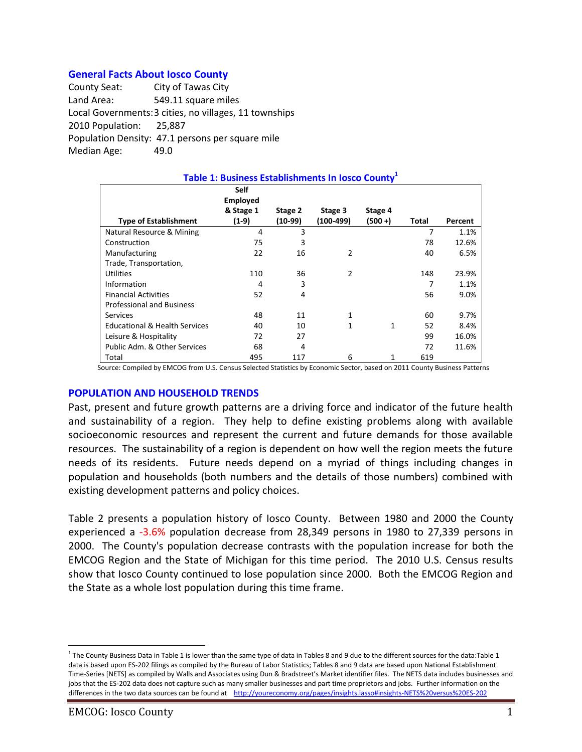#### **General Facts About Iosco County**

County Seat: City of Tawas City Land Area: 549.11 square miles Local Governments:3 cities, no villages, 11 townships 2010 Population: 25,887 Population Density: 47.1 persons per square mile Median Age: 49.0

| Table 1: Business Establishments In Iosco County <sup>1</sup> |                                      |           |               |            |       |         |  |  |
|---------------------------------------------------------------|--------------------------------------|-----------|---------------|------------|-------|---------|--|--|
|                                                               | Self<br><b>Employed</b><br>& Stage 1 | Stage 2   | Stage 3       | Stage 4    |       |         |  |  |
| <b>Type of Establishment</b>                                  | $(1-9)$                              | $(10-99)$ | $(100-499)$   | $(500 + )$ | Total | Percent |  |  |
| Natural Resource & Mining                                     | 4                                    | 3         |               |            | 7     | 1.1%    |  |  |
| Construction                                                  | 75                                   | 3         |               |            | 78    | 12.6%   |  |  |
| Manufacturing                                                 | 22                                   | 16        | $\mathcal{P}$ |            | 40    | 6.5%    |  |  |
| Trade, Transportation,                                        |                                      |           |               |            |       |         |  |  |
| <b>Utilities</b>                                              | 110                                  | 36        | 2             |            | 148   | 23.9%   |  |  |
| Information                                                   | 4                                    | 3         |               |            |       | 1.1%    |  |  |
| <b>Financial Activities</b>                                   | 52                                   | 4         |               |            | 56    | 9.0%    |  |  |
| <b>Professional and Business</b>                              |                                      |           |               |            |       |         |  |  |
| <b>Services</b>                                               | 48                                   | 11        | 1             |            | 60    | 9.7%    |  |  |
| <b>Educational &amp; Health Services</b>                      | 40                                   | 10        | $\mathbf{1}$  | 1          | 52    | 8.4%    |  |  |
| Leisure & Hospitality                                         | 72                                   | 27        |               |            | 99    | 16.0%   |  |  |
| Public Adm. & Other Services                                  | 68                                   | 4         |               |            | 72    | 11.6%   |  |  |
| Total                                                         | 495                                  | 117       | 6             | 1          | 619   |         |  |  |

Source: Compiled by EMCOG from U.S. Census Selected Statistics by Economic Sector, based on 2011 County Business Patterns

#### **POPULATION AND HOUSEHOLD TRENDS**

Past, present and future growth patterns are a driving force and indicator of the future health and sustainability of a region. They help to define existing problems along with available socioeconomic resources and represent the current and future demands for those available resources. The sustainability of a region is dependent on how well the region meets the future needs of its residents. Future needs depend on a myriad of things including changes in population and households (both numbers and the details of those numbers) combined with existing development patterns and policy choices.

Table 2 presents a population history of Iosco County. Between 1980 and 2000 the County experienced a -3.6% population decrease from 28,349 persons in 1980 to 27,339 persons in 2000. The County's population decrease contrasts with the population increase for both the EMCOG Region and the State of Michigan for this time period. The 2010 U.S. Census results show that Iosco County continued to lose population since 2000. Both the EMCOG Region and the State as a whole lost population during this time frame.

<sup>&</sup>lt;sup>1</sup> The County Business Data in Table 1 is lower than the same type of data in Tables 8 and 9 due to the different sources for the data:Table 1 data is based upon ES-202 filings as compiled by the Bureau of Labor Statistics; Tables 8 and 9 data are based upon National Establishment Time-Series [NETS] as compiled by Walls and Associates using Dun & Bradstreet's Market identifier files. The NETS data includes businesses and jobs that the ES-202 data does not capture such as many smaller businesses and part time proprietors and jobs. Further information on the differences in the two data sources can be found at <http://youreconomy.org/pages/insights.lasso#insights-NETS%20versus%20ES-202>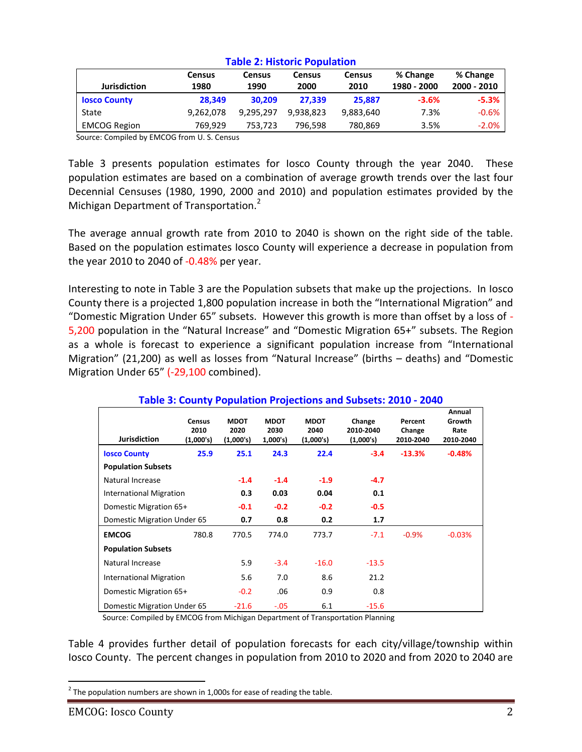| <b>Jurisdiction</b> | <b>Census</b><br>1980 | <b>Census</b><br>1990 | <b>Census</b><br>2000 | <b>Census</b><br>2010 | % Change<br>1980 - 2000 | % Change<br>2000 - 2010 |
|---------------------|-----------------------|-----------------------|-----------------------|-----------------------|-------------------------|-------------------------|
| <b>Iosco County</b> | 28.349                | 30.209                | 27.339                | 25.887                | $-3.6%$                 | $-5.3%$                 |
| State               | 9,262,078             | 9.295.297             | 9.938.823             | 9,883,640             | 7.3%                    | $-0.6%$                 |
| <b>EMCOG Region</b> | 769.929               | 753.723               | 796.598               | 780,869               | 3.5%                    | $-2.0\%$                |

#### **Table 2: Historic Population**

Source: Compiled by EMCOG from U. S. Census

Table 3 presents population estimates for Iosco County through the year 2040. These population estimates are based on a combination of average growth trends over the last four Decennial Censuses (1980, 1990, 2000 and 2010) and population estimates provided by the Michigan Department of Transportation.<sup>2</sup>

The average annual growth rate from 2010 to 2040 is shown on the right side of the table. Based on the population estimates Iosco County will experience a decrease in population from the year 2010 to 2040 of -0.48% per year.

Interesting to note in Table 3 are the Population subsets that make up the projections. In Iosco County there is a projected 1,800 population increase in both the "International Migration" and "Domestic Migration Under 65" subsets. However this growth is more than offset by a loss of - 5,200 population in the "Natural Increase" and "Domestic Migration 65+" subsets. The Region as a whole is forecast to experience a significant population increase from "International Migration" (21,200) as well as losses from "Natural Increase" (births – deaths) and "Domestic Migration Under 65" (-29,100 combined).

| Table 5. County Population Projections and Subsets. 2010 - 2040 |                                    |                                  |                                 |                                  |                                  |                                |                                       |
|-----------------------------------------------------------------|------------------------------------|----------------------------------|---------------------------------|----------------------------------|----------------------------------|--------------------------------|---------------------------------------|
| <b>Jurisdiction</b>                                             | <b>Census</b><br>2010<br>(1,000's) | <b>MDOT</b><br>2020<br>(1,000's) | <b>MDOT</b><br>2030<br>1,000's) | <b>MDOT</b><br>2040<br>(1,000's) | Change<br>2010-2040<br>(1,000's) | Percent<br>Change<br>2010-2040 | Annual<br>Growth<br>Rate<br>2010-2040 |
| <b>Iosco County</b>                                             | 25.9                               | 25.1                             | 24.3                            | 22.4                             | $-3.4$                           | $-13.3%$                       | $-0.48%$                              |
| <b>Population Subsets</b>                                       |                                    |                                  |                                 |                                  |                                  |                                |                                       |
| Natural Increase                                                |                                    | $-1.4$                           | $-1.4$                          | $-1.9$                           | $-4.7$                           |                                |                                       |
| International Migration                                         |                                    | 0.3                              | 0.03                            | 0.04                             | 0.1                              |                                |                                       |
| Domestic Migration 65+                                          |                                    | $-0.1$                           | $-0.2$                          | $-0.2$                           | $-0.5$                           |                                |                                       |
| Domestic Migration Under 65                                     |                                    | 0.7                              | 0.8                             | 0.2                              | 1.7                              |                                |                                       |
| <b>EMCOG</b>                                                    | 780.8                              | 770.5                            | 774.0                           | 773.7                            | $-7.1$                           | $-0.9%$                        | $-0.03%$                              |
| <b>Population Subsets</b>                                       |                                    |                                  |                                 |                                  |                                  |                                |                                       |
| Natural Increase                                                |                                    | 5.9                              | $-3.4$                          | $-16.0$                          | $-13.5$                          |                                |                                       |
| International Migration                                         |                                    | 5.6                              | 7.0                             | 8.6                              | 21.2                             |                                |                                       |
| Domestic Migration 65+                                          |                                    | $-0.2$                           | .06                             | 0.9                              | 0.8                              |                                |                                       |
| Domestic Migration Under 65                                     |                                    | $-21.6$                          | $-.05$                          | 6.1                              | $-15.6$                          |                                |                                       |

#### **Table 3: County Population Projections and Subsets: 2010 - 2040**

Source: Compiled by EMCOG from Michigan Department of Transportation Planning

Table 4 provides further detail of population forecasts for each city/village/township within Iosco County. The percent changes in population from 2010 to 2020 and from 2020 to 2040 are

 $^{2}$  The population numbers are shown in 1,000s for ease of reading the table.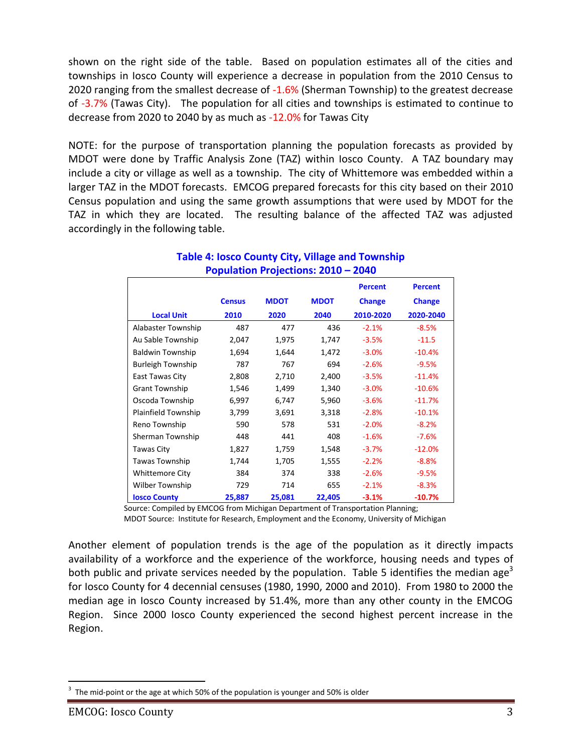shown on the right side of the table. Based on population estimates all of the cities and townships in Iosco County will experience a decrease in population from the 2010 Census to 2020 ranging from the smallest decrease of -1.6% (Sherman Township) to the greatest decrease of -3.7% (Tawas City). The population for all cities and townships is estimated to continue to decrease from 2020 to 2040 by as much as -12.0% for Tawas City

NOTE: for the purpose of transportation planning the population forecasts as provided by MDOT were done by Traffic Analysis Zone (TAZ) within Iosco County. A TAZ boundary may include a city or village as well as a township. The city of Whittemore was embedded within a larger TAZ in the MDOT forecasts. EMCOG prepared forecasts for this city based on their 2010 Census population and using the same growth assumptions that were used by MDOT for the TAZ in which they are located. The resulting balance of the affected TAZ was adjusted accordingly in the following table.

|                          |               |             |             | <b>Percent</b> | <b>Percent</b> |
|--------------------------|---------------|-------------|-------------|----------------|----------------|
|                          | <b>Census</b> | <b>MDOT</b> | <b>MDOT</b> | <b>Change</b>  | <b>Change</b>  |
| <b>Local Unit</b>        | 2010          | 2020        | 2040        | 2010-2020      | 2020-2040      |
| Alabaster Township       | 487           | 477         | 436         | $-2.1%$        | $-8.5%$        |
| Au Sable Township        | 2,047         | 1,975       | 1,747       | $-3.5%$        | $-11.5$        |
| <b>Baldwin Township</b>  | 1,694         | 1,644       | 1,472       | $-3.0%$        | $-10.4%$       |
| <b>Burleigh Township</b> | 787           | 767         | 694         | $-2.6%$        | $-9.5%$        |
| East Tawas City          | 2,808         | 2,710       | 2,400       | $-3.5%$        | $-11.4%$       |
| <b>Grant Township</b>    | 1,546         | 1,499       | 1,340       | $-3.0%$        | $-10.6%$       |
| Oscoda Township          | 6,997         | 6,747       | 5,960       | $-3.6%$        | $-11.7%$       |
| Plainfield Township      | 3,799         | 3,691       | 3,318       | $-2.8%$        | $-10.1%$       |
| Reno Township            | 590           | 578         | 531         | $-2.0%$        | $-8.2%$        |
| Sherman Township         | 448           | 441         | 408         | $-1.6%$        | $-7.6%$        |
| Tawas City               | 1,827         | 1,759       | 1,548       | $-3.7%$        | $-12.0%$       |
| <b>Tawas Township</b>    | 1,744         | 1,705       | 1,555       | $-2.2%$        | $-8.8%$        |
| <b>Whittemore City</b>   | 384           | 374         | 338         | $-2.6%$        | $-9.5%$        |
| Wilber Township          | 729           | 714         | 655         | $-2.1%$        | $-8.3%$        |
| <b>Iosco County</b>      | 25,887        | 25,081      | 22,405      | $-3.1%$        | $-10.7%$       |

#### **Table 4: Iosco County City, Village and Township Population Projections: 2010 – 2040**

Source: Compiled by EMCOG from Michigan Department of Transportation Planning;

MDOT Source: Institute for Research, Employment and the Economy, University of Michigan

Another element of population trends is the age of the population as it directly impacts availability of a workforce and the experience of the workforce, housing needs and types of both public and private services needed by the population. Table 5 identifies the median age<sup>3</sup> for Iosco County for 4 decennial censuses (1980, 1990, 2000 and 2010). From 1980 to 2000 the median age in Iosco County increased by 51.4%, more than any other county in the EMCOG Region. Since 2000 Iosco County experienced the second highest percent increase in the Region.

<sup>3</sup> The mid-point or the age at which 50% of the population is younger and 50% is older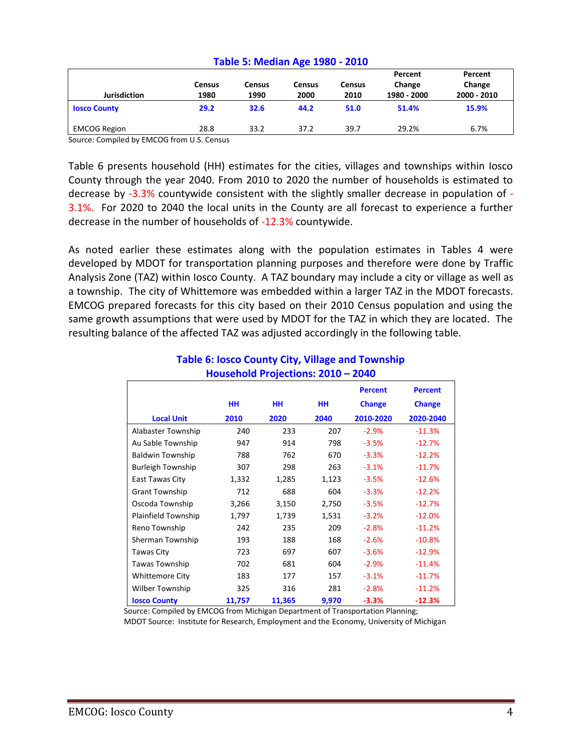| <b>Jurisdiction</b> | Census<br>1980 | Census<br>1990 | Census<br>2000 | <b>Census</b><br>2010 | Percent<br>Change<br>1980 - 2000 | Percent<br>Change<br>2000 - 2010 |
|---------------------|----------------|----------------|----------------|-----------------------|----------------------------------|----------------------------------|
| <b>Iosco County</b> | 29.2           | 32.6           | 44.2           | 51.0                  | 51.4%                            | 15.9%                            |
| <b>EMCOG Region</b> | 28.8           | 33.2           | 37.2           | 39.7                  | 29.2%                            | 6.7%                             |

#### **Table 5: Median Age 1980 - 2010**

Source: Compiled by EMCOG from U.S. Census

Table 6 presents household (HH) estimates for the cities, villages and townships within Iosco County through the year 2040. From 2010 to 2020 the number of households is estimated to decrease by -3.3% countywide consistent with the slightly smaller decrease in population of - 3.1%. For 2020 to 2040 the local units in the County are all forecast to experience a further decrease in the number of households of -12.3% countywide.

As noted earlier these estimates along with the population estimates in Tables 4 were developed by MDOT for transportation planning purposes and therefore were done by Traffic Analysis Zone (TAZ) within Iosco County. A TAZ boundary may include a city or village as well as a township. The city of Whittemore was embedded within a larger TAZ in the MDOT forecasts. EMCOG prepared forecasts for this city based on their 2010 Census population and using the same growth assumptions that were used by MDOT for the TAZ in which they are located. The resulting balance of the affected TAZ was adjusted accordingly in the following table.

|                          |           |        |           | <b>Percent</b> | <b>Percent</b> |
|--------------------------|-----------|--------|-----------|----------------|----------------|
|                          | <b>HH</b> | HН     | <b>HH</b> | <b>Change</b>  | <b>Change</b>  |
| <b>Local Unit</b>        | 2010      | 2020   | 2040      | 2010-2020      | 2020-2040      |
| Alabaster Township       | 240       | 233    | 207       | $-2.9%$        | $-11.3%$       |
| Au Sable Township        | 947       | 914    | 798       | $-3.5%$        | $-12.7%$       |
| <b>Baldwin Township</b>  | 788       | 762    | 670       | $-3.3%$        | $-12.2%$       |
| <b>Burleigh Township</b> | 307       | 298    | 263       | $-3.1%$        | $-11.7%$       |
| East Tawas City          | 1,332     | 1,285  | 1,123     | $-3.5%$        | $-12.6%$       |
| <b>Grant Township</b>    | 712       | 688    | 604       | $-3.3%$        | $-12.2%$       |
| Oscoda Township          | 3,266     | 3,150  | 2,750     | $-3.5%$        | $-12.7%$       |
| Plainfield Township      | 1,797     | 1,739  | 1,531     | $-3.2%$        | $-12.0%$       |
| Reno Township            | 242       | 235    | 209       | $-2.8%$        | $-11.2%$       |
| Sherman Township         | 193       | 188    | 168       | $-2.6%$        | $-10.8%$       |
| Tawas City               | 723       | 697    | 607       | $-3.6%$        | $-12.9%$       |
| <b>Tawas Township</b>    | 702       | 681    | 604       | $-2.9%$        | $-11.4%$       |
| <b>Whittemore City</b>   | 183       | 177    | 157       | $-3.1%$        | $-11.7%$       |
| Wilber Township          | 325       | 316    | 281       | $-2.8%$        | $-11.2%$       |
| <b>Iosco County</b>      | 11,757    | 11,365 | 9,970     | $-3.3%$        | $-12.3%$       |

### **Table 6: Iosco County City, Village and Township Household Projections: 2010 – 2040**

 Source: Compiled by EMCOG from Michigan Department of Transportation Planning; MDOT Source: Institute for Research, Employment and the Economy, University of Michigan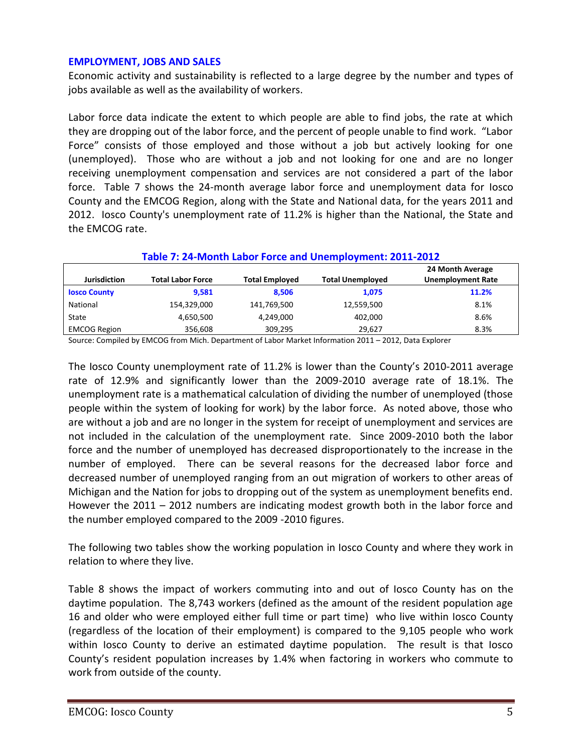#### **EMPLOYMENT, JOBS AND SALES**

Economic activity and sustainability is reflected to a large degree by the number and types of jobs available as well as the availability of workers.

Labor force data indicate the extent to which people are able to find jobs, the rate at which they are dropping out of the labor force, and the percent of people unable to find work. "Labor Force" consists of those employed and those without a job but actively looking for one (unemployed). Those who are without a job and not looking for one and are no longer receiving unemployment compensation and services are not considered a part of the labor force. Table 7 shows the 24-month average labor force and unemployment data for Iosco County and the EMCOG Region, along with the State and National data, for the years 2011 and 2012. Iosco County's unemployment rate of 11.2% is higher than the National, the State and the EMCOG rate.

| Table 7: 24-Month Labor Force and Unemployment: 2011-2012 |                          |                       |                         |                                              |  |  |  |
|-----------------------------------------------------------|--------------------------|-----------------------|-------------------------|----------------------------------------------|--|--|--|
| <b>Jurisdiction</b>                                       | <b>Total Labor Force</b> | <b>Total Employed</b> | <b>Total Unemployed</b> | 24 Month Average<br><b>Unemployment Rate</b> |  |  |  |
| <b>Iosco County</b>                                       | 9.581                    | 8.506                 | 1,075                   | 11.2%                                        |  |  |  |
| National                                                  | 154,329,000              | 141,769,500           | 12,559,500              | 8.1%                                         |  |  |  |
| State                                                     | 4,650,500                | 4,249,000             | 402,000                 | 8.6%                                         |  |  |  |
| <b>EMCOG Region</b>                                       | 356.608                  | 309,295               | 29,627                  | 8.3%                                         |  |  |  |

Source: Compiled by EMCOG from Mich. Department of Labor Market Information 2011 – 2012, Data Explorer

The Iosco County unemployment rate of 11.2% is lower than the County's 2010-2011 average rate of 12.9% and significantly lower than the 2009-2010 average rate of 18.1%. The unemployment rate is a mathematical calculation of dividing the number of unemployed (those people within the system of looking for work) by the labor force. As noted above, those who are without a job and are no longer in the system for receipt of unemployment and services are not included in the calculation of the unemployment rate. Since 2009-2010 both the labor force and the number of unemployed has decreased disproportionately to the increase in the number of employed. There can be several reasons for the decreased labor force and decreased number of unemployed ranging from an out migration of workers to other areas of Michigan and the Nation for jobs to dropping out of the system as unemployment benefits end. However the 2011 – 2012 numbers are indicating modest growth both in the labor force and the number employed compared to the 2009 -2010 figures.

The following two tables show the working population in Iosco County and where they work in relation to where they live.

Table 8 shows the impact of workers commuting into and out of Iosco County has on the daytime population. The 8,743 workers (defined as the amount of the resident population age 16 and older who were employed either full time or part time) who live within Iosco County (regardless of the location of their employment) is compared to the 9,105 people who work within Iosco County to derive an estimated daytime population. The result is that Iosco County's resident population increases by 1.4% when factoring in workers who commute to work from outside of the county.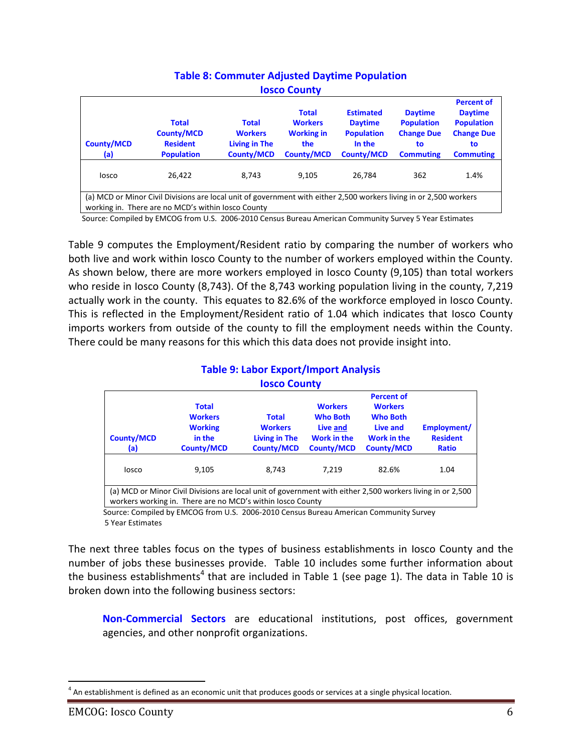| <b>IOSCO COUNTY</b>                                                                                                                                                      |                                                                           |                                                                      |                                                                                 |                                                                                        |                                                                                    |                                                                                                         |  |
|--------------------------------------------------------------------------------------------------------------------------------------------------------------------------|---------------------------------------------------------------------------|----------------------------------------------------------------------|---------------------------------------------------------------------------------|----------------------------------------------------------------------------------------|------------------------------------------------------------------------------------|---------------------------------------------------------------------------------------------------------|--|
| <b>County/MCD</b><br>(a)                                                                                                                                                 | <b>Total</b><br><b>County/MCD</b><br><b>Resident</b><br><b>Population</b> | <b>Total</b><br><b>Workers</b><br>Living in The<br><b>County/MCD</b> | <b>Total</b><br><b>Workers</b><br><b>Working in</b><br>the<br><b>County/MCD</b> | <b>Estimated</b><br><b>Daytime</b><br><b>Population</b><br>In the<br><b>County/MCD</b> | <b>Daytime</b><br><b>Population</b><br><b>Change Due</b><br>to<br><b>Commuting</b> | <b>Percent of</b><br><b>Daytime</b><br><b>Population</b><br><b>Change Due</b><br>to<br><b>Commuting</b> |  |
| losco                                                                                                                                                                    | 26.422                                                                    | 8.743                                                                | 9.105                                                                           | 26,784                                                                                 | 362                                                                                | 1.4%                                                                                                    |  |
| (a) MCD or Minor Civil Divisions are local unit of government with either 2,500 workers living in or 2,500 workers<br>working in. There are no MCD's within losco County |                                                                           |                                                                      |                                                                                 |                                                                                        |                                                                                    |                                                                                                         |  |

#### **Table 8: Commuter Adjusted Daytime Population Iosco County**

Source: Compiled by EMCOG from U.S. 2006-2010 Census Bureau American Community Survey 5 Year Estimates

Table 9 computes the Employment/Resident ratio by comparing the number of workers who both live and work within Iosco County to the number of workers employed within the County. As shown below, there are more workers employed in Iosco County (9,105) than total workers who reside in Iosco County (8,743). Of the 8,743 working population living in the county, 7,219 actually work in the county. This equates to 82.6% of the workforce employed in Iosco County. This is reflected in the Employment/Resident ratio of 1.04 which indicates that Iosco County imports workers from outside of the county to fill the employment needs within the County. There could be many reasons for this which this data does not provide insight into.

#### **Table 9: Labor Export/Import Analysis Iosco County**

| <b>IUSCU CUUIILY</b>                                                                                                                                                     |                                                                                 |                                                                             |                                                                                          |                                                                                                        |                                                |  |  |
|--------------------------------------------------------------------------------------------------------------------------------------------------------------------------|---------------------------------------------------------------------------------|-----------------------------------------------------------------------------|------------------------------------------------------------------------------------------|--------------------------------------------------------------------------------------------------------|------------------------------------------------|--|--|
| <b>County/MCD</b><br>(a)                                                                                                                                                 | <b>Total</b><br><b>Workers</b><br><b>Working</b><br>in the<br><b>County/MCD</b> | <b>Total</b><br><b>Workers</b><br><b>Living in The</b><br><b>County/MCD</b> | <b>Workers</b><br><b>Who Both</b><br>Live and<br><b>Work in the</b><br><b>County/MCD</b> | <b>Percent of</b><br><b>Workers</b><br><b>Who Both</b><br>Live and<br>Work in the<br><b>County/MCD</b> | Employment/<br><b>Resident</b><br><b>Ratio</b> |  |  |
| losco                                                                                                                                                                    | 9,105                                                                           | 8,743                                                                       | 7.219                                                                                    | 82.6%                                                                                                  | 1.04                                           |  |  |
| (a) MCD or Minor Civil Divisions are local unit of government with either 2,500 workers living in or 2,500<br>workers working in. There are no MCD's within losco County |                                                                                 |                                                                             |                                                                                          |                                                                                                        |                                                |  |  |

 Source: Compiled by EMCOG from U.S. 2006-2010 Census Bureau American Community Survey 5 Year Estimates

The next three tables focus on the types of business establishments in Iosco County and the number of jobs these businesses provide. Table 10 includes some further information about the business establishments<sup>4</sup> that are included in Table 1 (see page 1). The data in Table 10 is broken down into the following business sectors:

**Non-Commercial Sectors** are educational institutions, post offices, government agencies, and other nonprofit organizations.

 $<sup>4</sup>$  An establishment is defined as an economic unit that produces goods or services at a single physical location.</sup>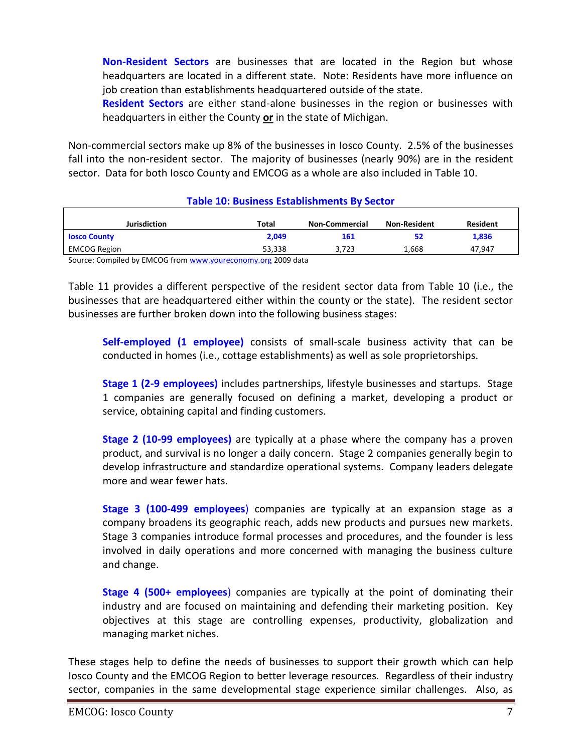**Non-Resident Sectors** are businesses that are located in the Region but whose headquarters are located in a different state. Note: Residents have more influence on job creation than establishments headquartered outside of the state.

**Resident Sectors** are either stand-alone businesses in the region or businesses with headquarters in either the County **or** in the state of Michigan.

Non-commercial sectors make up 8% of the businesses in Iosco County. 2.5% of the businesses fall into the non-resident sector. The majority of businesses (nearly 90%) are in the resident sector. Data for both Iosco County and EMCOG as a whole are also included in Table 10.

| Jurisdiction                                                 | Total  | Non-Commercial | Non-Resident | Resident |  |  |  |
|--------------------------------------------------------------|--------|----------------|--------------|----------|--|--|--|
| <b>Iosco County</b>                                          | 2,049  | 161            | 52           | 1,836    |  |  |  |
| <b>EMCOG Region</b>                                          | 53.338 | 3.723          | 1.668        | 47.947   |  |  |  |
| Source: Compiled by EMCOG from www.youreconomy.org 2009 data |        |                |              |          |  |  |  |

#### **Table 10: Business Establishments By Sector**

Table 11 provides a different perspective of the resident sector data from Table 10 (i.e., the businesses that are headquartered either within the county or the state). The resident sector

businesses are further broken down into the following business stages:

**Self-employed (1 employee)** consists of small-scale business activity that can be conducted in homes (i.e., cottage establishments) as well as sole proprietorships.

**Stage 1 (2-9 employees)** includes partnerships, lifestyle businesses and startups. Stage 1 companies are generally focused on defining a market, developing a product or service, obtaining capital and finding customers.

**Stage 2 (10-99 employees)** are typically at a phase where the company has a proven product, and survival is no longer a daily concern. Stage 2 companies generally begin to develop infrastructure and standardize operational systems. Company leaders delegate more and wear fewer hats.

**Stage 3 (100-499 employees**) companies are typically at an expansion stage as a company broadens its geographic reach, adds new products and pursues new markets. Stage 3 companies introduce formal processes and procedures, and the founder is less involved in daily operations and more concerned with managing the business culture and change.

**Stage 4 (500+ employees**) companies are typically at the point of dominating their industry and are focused on maintaining and defending their marketing position. Key objectives at this stage are controlling expenses, productivity, globalization and managing market niches.

These stages help to define the needs of businesses to support their growth which can help Iosco County and the EMCOG Region to better leverage resources. Regardless of their industry sector, companies in the same developmental stage experience similar challenges. Also, as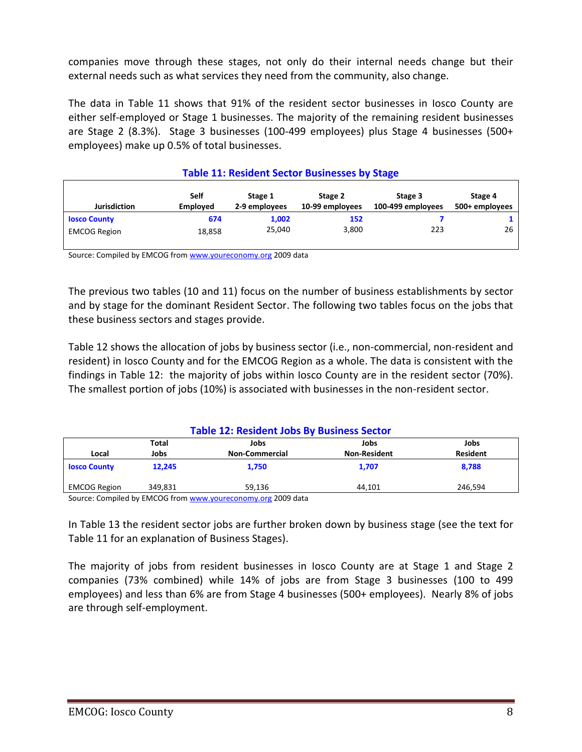companies move through these stages, not only do their internal needs change but their external needs such as what services they need from the community, also change.

The data in Table 11 shows that 91% of the resident sector businesses in Iosco County are either self-employed or Stage 1 businesses. The majority of the remaining resident businesses are Stage 2 (8.3%). Stage 3 businesses (100-499 employees) plus Stage 4 businesses (500+ employees) make up 0.5% of total businesses.

| <b>Table 11: Resident Sector Businesses by Stage</b>                                                                                                                         |        |        |       |     |    |  |  |
|------------------------------------------------------------------------------------------------------------------------------------------------------------------------------|--------|--------|-------|-----|----|--|--|
| <b>Self</b><br>Stage 2<br>Stage 4<br>Stage 1<br>Stage 3<br><b>Jurisdiction</b><br>2-9 employees<br>10-99 employees<br>100-499 employees<br><b>Employed</b><br>500+ employees |        |        |       |     |    |  |  |
| <b>Iosco County</b>                                                                                                                                                          | 674    | 1,002  | 152   |     |    |  |  |
| <b>EMCOG Region</b>                                                                                                                                                          | 18,858 | 25.040 | 3,800 | 223 | 26 |  |  |
|                                                                                                                                                                              |        |        |       |     |    |  |  |

Source: Compiled by EMCOG fro[m www.youreconomy.org](http://www.youreconomy.org/) 2009 data

The previous two tables (10 and 11) focus on the number of business establishments by sector and by stage for the dominant Resident Sector. The following two tables focus on the jobs that these business sectors and stages provide.

Table 12 shows the allocation of jobs by business sector (i.e., non-commercial, non-resident and resident) in Iosco County and for the EMCOG Region as a whole. The data is consistent with the findings in Table 12: the majority of jobs within Iosco County are in the resident sector (70%). The smallest portion of jobs (10%) is associated with businesses in the non-resident sector.

| <b>Table 12: Resident Jobs By Business Sector</b> |         |                                                              |                     |                 |  |  |
|---------------------------------------------------|---------|--------------------------------------------------------------|---------------------|-----------------|--|--|
| Total<br>Jobs<br>Jobs<br>Jobs                     |         |                                                              |                     |                 |  |  |
| Local                                             | Jobs    | <b>Non-Commercial</b>                                        | <b>Non-Resident</b> | <b>Resident</b> |  |  |
| <b>Iosco County</b>                               | 12.245  | 1.750                                                        | 1,707               | 8.788           |  |  |
| <b>EMCOG Region</b>                               | 349.831 | 59.136                                                       | 44.101              | 246.594         |  |  |
|                                                   |         | Course: Compiled by EMCOC from www.vourasenomy.org 2000 data |                     |                 |  |  |

Source: Compiled by EMCOG from <u>www.youreconomy.org</u> 2009 data

In Table 13 the resident sector jobs are further broken down by business stage (see the text for Table 11 for an explanation of Business Stages).

The majority of jobs from resident businesses in Iosco County are at Stage 1 and Stage 2 companies (73% combined) while 14% of jobs are from Stage 3 businesses (100 to 499 employees) and less than 6% are from Stage 4 businesses (500+ employees). Nearly 8% of jobs are through self-employment.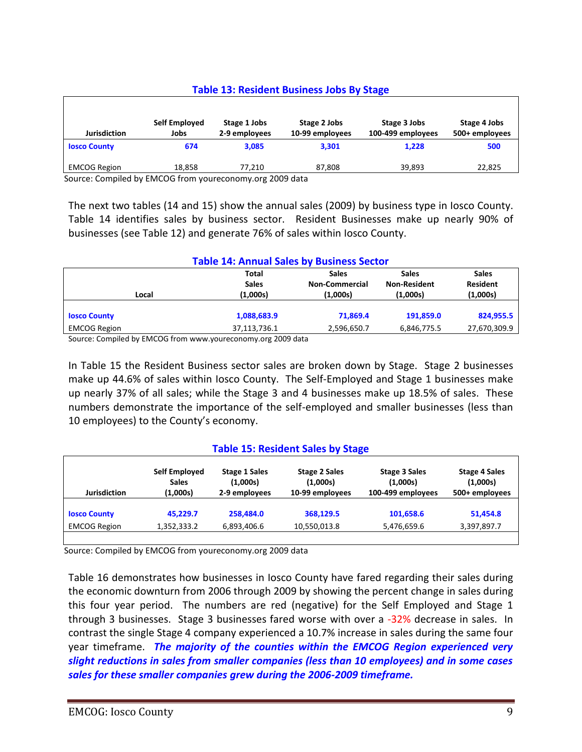#### **Table 13: Resident Business Jobs By Stage**

| <b>Jurisdiction</b> | Self Employed<br>Jobs | Stage 1 Jobs<br>2-9 employees | Stage 2 Jobs<br>10-99 employees | Stage 3 Jobs<br>100-499 employees | Stage 4 Jobs<br>500+ employees |
|---------------------|-----------------------|-------------------------------|---------------------------------|-----------------------------------|--------------------------------|
| <b>Iosco County</b> | 674                   | 3,085                         | 3,301                           | 1,228                             | 500                            |
| <b>EMCOG Region</b> | 18.858                | 77.210                        | 87,808                          | 39,893                            | 22,825                         |

Source: Compiled by EMCOG from youreconomy.org 2009 data

The next two tables (14 and 15) show the annual sales (2009) by business type in Iosco County. Table 14 identifies sales by business sector. Resident Businesses make up nearly 90% of businesses (see Table 12) and generate 76% of sales within Iosco County.

| <b>Table 14: Annual Sales by Business Sector</b> |              |                       |                     |                 |  |  |  |
|--------------------------------------------------|--------------|-----------------------|---------------------|-----------------|--|--|--|
|                                                  | Total        | <b>Sales</b>          | <b>Sales</b>        | <b>Sales</b>    |  |  |  |
|                                                  | <b>Sales</b> | <b>Non-Commercial</b> | <b>Non-Resident</b> | <b>Resident</b> |  |  |  |
| Local                                            | (1,000s)     | (1,000s)              | (1,000s)            | (1,000s)        |  |  |  |
|                                                  |              |                       |                     |                 |  |  |  |
| <b>Iosco County</b>                              | 1,088,683.9  | 71.869.4              | 191,859.0           | 824,955.5       |  |  |  |
| <b>EMCOG Region</b>                              | 37,113,736.1 | 2,596,650.7           | 6,846,775.5         | 27,670,309.9    |  |  |  |

Source: Compiled by EMCOG from www.youreconomy.org 2009 data

In Table 15 the Resident Business sector sales are broken down by Stage. Stage 2 businesses make up 44.6% of sales within Iosco County. The Self-Employed and Stage 1 businesses make up nearly 37% of all sales; while the Stage 3 and 4 businesses make up 18.5% of sales. These numbers demonstrate the importance of the self-employed and smaller businesses (less than 10 employees) to the County's economy.

#### **Table 15: Resident Sales by Stage**

| <b>Jurisdiction</b> | Self Employed | <b>Stage 1 Sales</b> | <b>Stage 2 Sales</b> | <b>Stage 3 Sales</b> | <b>Stage 4 Sales</b> |
|---------------------|---------------|----------------------|----------------------|----------------------|----------------------|
|                     | <b>Sales</b>  | (1,000s)             | (1,000s)             | (1,000s)             | (1,000s)             |
|                     | (1,000s)      | 2-9 employees        | 10-99 employees      | 100-499 employees    | 500+ employees       |
| <b>Iosco County</b> | 45.229.7      | 258.484.0            | 368.129.5            | 101,658.6            | 51,454.8             |
| <b>EMCOG Region</b> | 1,352,333.2   | 6,893,406.6          | 10,550,013.8         | 5,476,659.6          | 3,397,897.7          |

Source: Compiled by EMCOG from youreconomy.org 2009 data

Table 16 demonstrates how businesses in Iosco County have fared regarding their sales during the economic downturn from 2006 through 2009 by showing the percent change in sales during this four year period. The numbers are red (negative) for the Self Employed and Stage 1 through 3 businesses. Stage 3 businesses fared worse with over a -32% decrease in sales. In contrast the single Stage 4 company experienced a 10.7% increase in sales during the same four year timeframe. *The majority of the counties within the EMCOG Region experienced very slight reductions in sales from smaller companies (less than 10 employees) and in some cases sales for these smaller companies grew during the 2006-2009 timeframe.*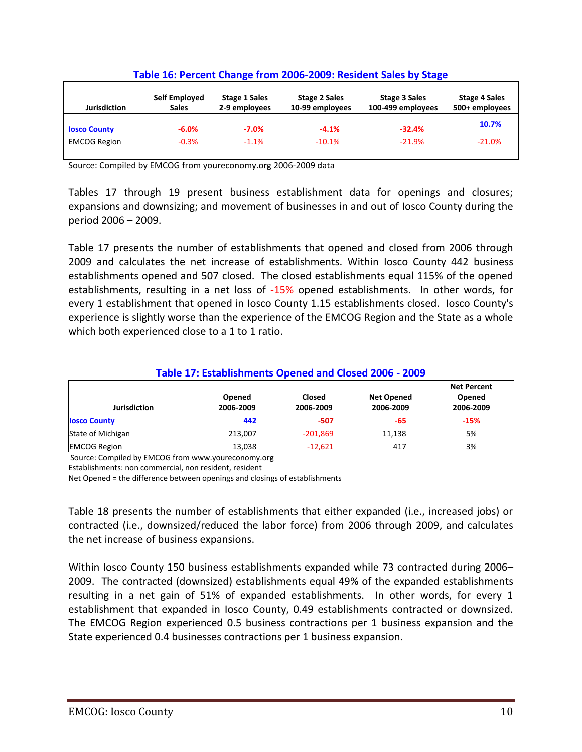| <b>Jurisdiction</b> | Self Employed<br><b>Sales</b> | <b>Stage 1 Sales</b><br>2-9 employees | <b>Stage 2 Sales</b><br>10-99 employees | <b>Stage 3 Sales</b><br>100-499 employees | <b>Stage 4 Sales</b><br>500+ employees |
|---------------------|-------------------------------|---------------------------------------|-----------------------------------------|-------------------------------------------|----------------------------------------|
| <b>Iosco County</b> | $-6.0%$                       | $-7.0%$                               | $-4.1%$                                 | $-32.4%$                                  | 10.7%                                  |
| <b>EMCOG Region</b> | $-0.3%$                       | $-1.1%$                               | $-10.1%$                                | $-21.9%$                                  | $-21.0%$                               |

#### **Table 16: Percent Change from 2006-2009: Resident Sales by Stage**

Source: Compiled by EMCOG from youreconomy.org 2006-2009 data

Tables 17 through 19 present business establishment data for openings and closures; expansions and downsizing; and movement of businesses in and out of Iosco County during the period 2006 – 2009.

Table 17 presents the number of establishments that opened and closed from 2006 through 2009 and calculates the net increase of establishments. Within Iosco County 442 business establishments opened and 507 closed. The closed establishments equal 115% of the opened establishments, resulting in a net loss of -15% opened establishments. In other words, for every 1 establishment that opened in Iosco County 1.15 establishments closed. Iosco County's experience is slightly worse than the experience of the EMCOG Region and the State as a whole which both experienced close to a 1 to 1 ratio.

#### **Table 17: Establishments Opened and Closed 2006 - 2009**

| <b>Jurisdiction</b> | Opened<br>2006-2009 | Closed            | <b>Net Opened</b><br>2006-2009 | <b>Net Percent</b><br>Opened |
|---------------------|---------------------|-------------------|--------------------------------|------------------------------|
| <b>Iosco County</b> | 442                 | 2006-2009<br>-507 | -65                            | 2006-2009<br>$-15%$          |
| State of Michigan   | 213.007             | $-201,869$        | 11,138                         | 5%                           |
| <b>EMCOG Region</b> | 13,038              | $-12.621$         | 417                            | 3%                           |

Source: Compiled by EMCOG from www.youreconomy.org

Establishments: non commercial, non resident, resident

Net Opened = the difference between openings and closings of establishments

Table 18 presents the number of establishments that either expanded (i.e., increased jobs) or contracted (i.e., downsized/reduced the labor force) from 2006 through 2009, and calculates the net increase of business expansions.

Within Iosco County 150 business establishments expanded while 73 contracted during 2006– 2009. The contracted (downsized) establishments equal 49% of the expanded establishments resulting in a net gain of 51% of expanded establishments. In other words, for every 1 establishment that expanded in Iosco County, 0.49 establishments contracted or downsized. The EMCOG Region experienced 0.5 business contractions per 1 business expansion and the State experienced 0.4 businesses contractions per 1 business expansion.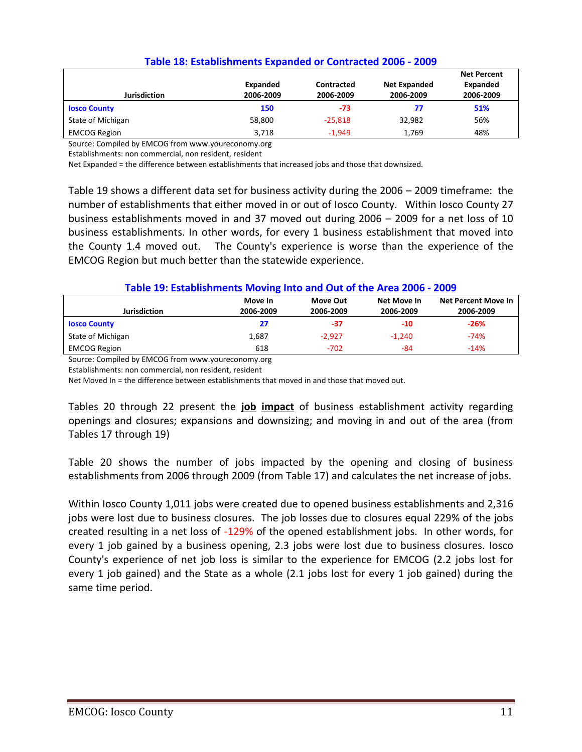| Jurisdiction        | Expanded<br>2006-2009 | Contracted<br>2006-2009 | <b>Net Expanded</b><br>2006-2009 | <b>Net Percent</b><br>Expanded<br>2006-2009 |  |  |
|---------------------|-----------------------|-------------------------|----------------------------------|---------------------------------------------|--|--|
| <b>Iosco County</b> | 150                   | $-73$                   | 77                               | 51%                                         |  |  |
| State of Michigan   | 58,800                | $-25.818$               | 32.982                           | 56%                                         |  |  |
| <b>EMCOG Region</b> | 3.718                 | $-1.949$                | 1.769                            | 48%                                         |  |  |

#### **Table 18: Establishments Expanded or Contracted 2006 - 2009**

Source: Compiled by EMCOG from www.youreconomy.org

Establishments: non commercial, non resident, resident

Net Expanded = the difference between establishments that increased jobs and those that downsized.

Table 19 shows a different data set for business activity during the 2006 – 2009 timeframe: the number of establishments that either moved in or out of Iosco County. Within Iosco County 27 business establishments moved in and 37 moved out during 2006 – 2009 for a net loss of 10 business establishments. In other words, for every 1 business establishment that moved into the County 1.4 moved out. The County's experience is worse than the experience of the EMCOG Region but much better than the statewide experience.

#### **Table 19: Establishments Moving Into and Out of the Area 2006 - 2009**

|                     | Move In   | Move Out  | Net Move In | Net Percent Move In |
|---------------------|-----------|-----------|-------------|---------------------|
| <b>Jurisdiction</b> | 2006-2009 | 2006-2009 | 2006-2009   | 2006-2009           |
| <b>Iosco County</b> | 27        | -37       | $-10$       | $-26%$              |
| State of Michigan   | 1,687     | $-2,927$  | $-1.240$    | $-74%$              |
| <b>EMCOG Region</b> | 618       | $-702$    | -84         | $-14%$              |

Source: Compiled by EMCOG from www.youreconomy.org

Establishments: non commercial, non resident, resident

Net Moved In = the difference between establishments that moved in and those that moved out.

Tables 20 through 22 present the **job impact** of business establishment activity regarding openings and closures; expansions and downsizing; and moving in and out of the area (from Tables 17 through 19)

Table 20 shows the number of jobs impacted by the opening and closing of business establishments from 2006 through 2009 (from Table 17) and calculates the net increase of jobs.

Within Iosco County 1,011 jobs were created due to opened business establishments and 2,316 jobs were lost due to business closures. The job losses due to closures equal 229% of the jobs created resulting in a net loss of -129% of the opened establishment jobs. In other words, for every 1 job gained by a business opening, 2.3 jobs were lost due to business closures. Iosco County's experience of net job loss is similar to the experience for EMCOG (2.2 jobs lost for every 1 job gained) and the State as a whole (2.1 jobs lost for every 1 job gained) during the same time period.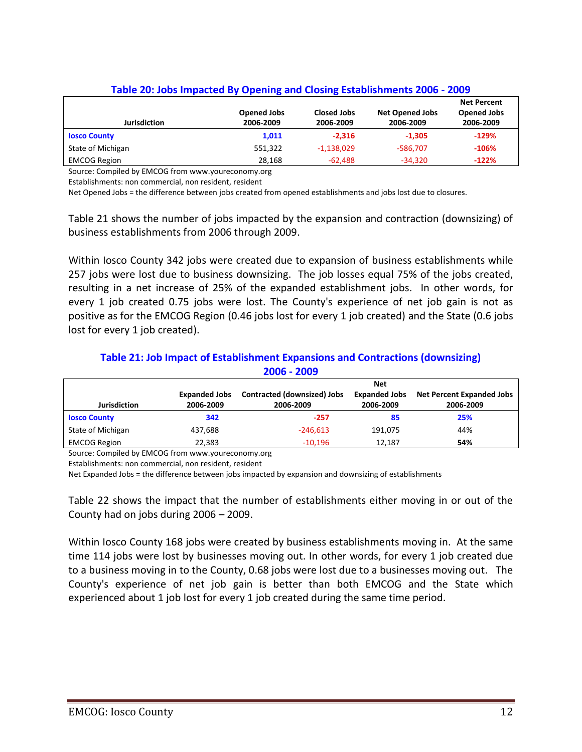| <b>Jurisdiction</b> | Opened Jobs<br>2006-2009 | Closed Jobs<br>2006-2009 | <b>Net Opened Jobs</b><br>2006-2009 | <b>Net Percent</b><br><b>Opened Jobs</b><br>2006-2009 |
|---------------------|--------------------------|--------------------------|-------------------------------------|-------------------------------------------------------|
| <b>Iosco County</b> | 1,011                    | $-2.316$                 | $-1.305$                            | $-129%$                                               |
| State of Michigan   | 551,322                  | $-1,138,029$             | -586.707                            | $-106%$                                               |
| <b>EMCOG Region</b> | 28,168                   | -62,488                  | $-34,320$                           | $-122%$                                               |

#### **Table 20: Jobs Impacted By Opening and Closing Establishments 2006 - 2009**

Source: Compiled by EMCOG from www.youreconomy.org

Establishments: non commercial, non resident, resident

Net Opened Jobs = the difference between jobs created from opened establishments and jobs lost due to closures.

Table 21 shows the number of jobs impacted by the expansion and contraction (downsizing) of business establishments from 2006 through 2009.

Within Iosco County 342 jobs were created due to expansion of business establishments while 257 jobs were lost due to business downsizing. The job losses equal 75% of the jobs created, resulting in a net increase of 25% of the expanded establishment jobs. In other words, for every 1 job created 0.75 jobs were lost. The County's experience of net job gain is not as positive as for the EMCOG Region (0.46 jobs lost for every 1 job created) and the State (0.6 jobs lost for every 1 job created).

#### **2006 - 2009 Jurisdiction Expanded Jobs 2006-2009 Contracted (downsized) Jobs 2006-2009 Net Expanded Jobs 2006-2009 Net Percent Expanded Jobs 2006-2009 Iosco County 342 -257 85 25%** State of Michigan **437,688** -246,613 191,075 -24% EMCOG Region **12,187 54% 54%**

# **Table 21: Job Impact of Establishment Expansions and Contractions (downsizing)**

Source: Compiled by EMCOG from www.youreconomy.org

Establishments: non commercial, non resident, resident

Net Expanded Jobs = the difference between jobs impacted by expansion and downsizing of establishments

Table 22 shows the impact that the number of establishments either moving in or out of the County had on jobs during 2006 – 2009.

Within Iosco County 168 jobs were created by business establishments moving in. At the same time 114 jobs were lost by businesses moving out. In other words, for every 1 job created due to a business moving in to the County, 0.68 jobs were lost due to a businesses moving out. The County's experience of net job gain is better than both EMCOG and the State which experienced about 1 job lost for every 1 job created during the same time period.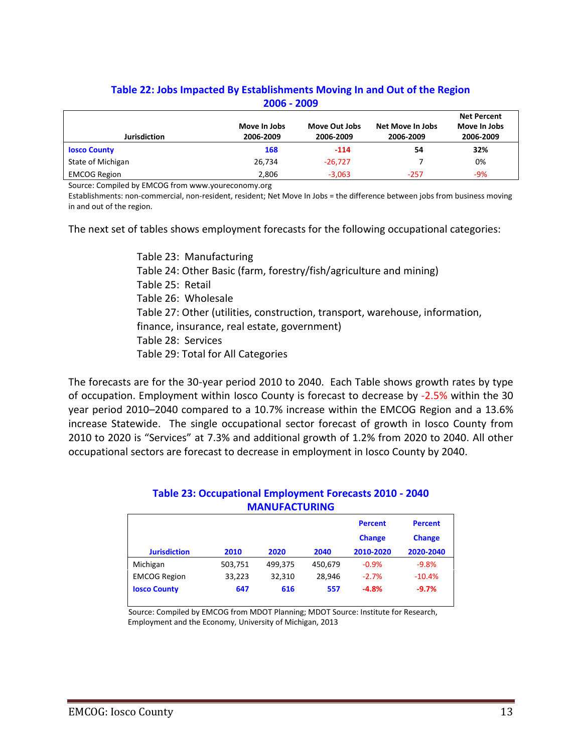| $2006 - 2009$       |                                                 |           |        |       |  |  |
|---------------------|-------------------------------------------------|-----------|--------|-------|--|--|
| <b>Jurisdiction</b> | <b>Net Percent</b><br>Move In Jobs<br>2006-2009 |           |        |       |  |  |
| <b>Iosco County</b> | 168                                             | $-114$    | 54     | 32%   |  |  |
| State of Michigan   | 26,734                                          | $-26.727$ |        | 0%    |  |  |
| <b>EMCOG Region</b> | 2,806                                           | $-3,063$  | $-257$ | $-9%$ |  |  |

# **Table 22: Jobs Impacted By Establishments Moving In and Out of the Region**

Source: Compiled by EMCOG from www.youreconomy.org

Establishments: non-commercial, non-resident, resident; Net Move In Jobs = the difference between jobs from business moving in and out of the region.

The next set of tables shows employment forecasts for the following occupational categories:

Table 23: Manufacturing Table 24: Other Basic (farm, forestry/fish/agriculture and mining) Table 25: Retail Table 26: Wholesale Table 27: Other (utilities, construction, transport, warehouse, information, finance, insurance, real estate, government) Table 28: Services Table 29: Total for All Categories

The forecasts are for the 30-year period 2010 to 2040. Each Table shows growth rates by type of occupation. Employment within Iosco County is forecast to decrease by -2.5% within the 30 year period 2010–2040 compared to a 10.7% increase within the EMCOG Region and a 13.6% increase Statewide. The single occupational sector forecast of growth in Iosco County from 2010 to 2020 is "Services" at 7.3% and additional growth of 1.2% from 2020 to 2040. All other occupational sectors are forecast to decrease in employment in Iosco County by 2040.

|         |         |         | <b>Percent</b><br><b>Change</b> | <b>Percent</b><br><b>Change</b> |  |
|---------|---------|---------|---------------------------------|---------------------------------|--|
| 2010    | 2020    | 2040    | 2010-2020                       | 2020-2040                       |  |
| 503,751 | 499,375 | 450,679 | $-0.9%$                         | $-9.8%$                         |  |
| 33,223  | 32,310  | 28.946  | $-2.7%$                         | $-10.4%$                        |  |
| 647     | 616     | 557     | $-4.8%$                         | $-9.7%$                         |  |
|         |         |         |                                 |                                 |  |

#### **Table 23: Occupational Employment Forecasts 2010 - 2040 MANUFACTURING**

Source: Compiled by EMCOG from MDOT Planning; MDOT Source: Institute for Research, Employment and the Economy, University of Michigan, 2013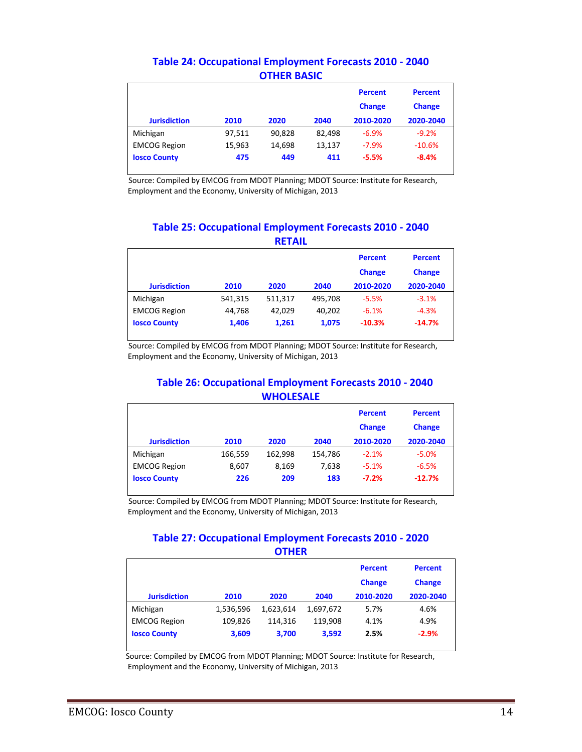|                     |        |        |        | <b>Percent</b><br><b>Change</b> | <b>Percent</b><br><b>Change</b> |
|---------------------|--------|--------|--------|---------------------------------|---------------------------------|
| <b>Jurisdiction</b> | 2010   | 2020   | 2040   | 2010-2020                       | 2020-2040                       |
| Michigan            | 97,511 | 90.828 | 82,498 | $-6.9%$                         | $-9.2%$                         |
| <b>EMCOG Region</b> | 15,963 | 14,698 | 13,137 | $-7.9%$                         | $-10.6%$                        |
| <b>Iosco County</b> | 475    | 449    | 411    | $-5.5%$                         | $-8.4%$                         |

#### **Table 24: Occupational Employment Forecasts 2010 - 2040 OTHER BASIC**

Source: Compiled by EMCOG from MDOT Planning; MDOT Source: Institute for Research, Employment and the Economy, University of Michigan, 2013

#### **Table 25: Occupational Employment Forecasts 2010 - 2040 RETAIL**

| <b>Jurisdiction</b> | 2010    | 2020    | 2040    | <b>Percent</b><br><b>Change</b><br>2010-2020 | <b>Percent</b><br><b>Change</b><br>2020-2040 |
|---------------------|---------|---------|---------|----------------------------------------------|----------------------------------------------|
| Michigan            | 541,315 | 511,317 | 495,708 | $-5.5%$                                      | $-3.1%$                                      |
| <b>EMCOG Region</b> | 44,768  | 42,029  | 40,202  | $-6.1%$                                      | $-4.3%$                                      |
| <b>Iosco County</b> | 1,406   | 1,261   | 1,075   | $-10.3%$                                     | $-14.7%$                                     |

Source: Compiled by EMCOG from MDOT Planning; MDOT Source: Institute for Research, Employment and the Economy, University of Michigan, 2013

#### **Table 26: Occupational Employment Forecasts 2010 - 2040 WHOLESALE**

| <b>Jurisdiction</b> | 2010    | 2020    | 2040    | <b>Percent</b><br><b>Change</b><br>2010-2020 | <b>Percent</b><br><b>Change</b><br>2020-2040 |
|---------------------|---------|---------|---------|----------------------------------------------|----------------------------------------------|
| Michigan            | 166,559 | 162,998 | 154,786 | $-2.1%$                                      | $-5.0%$                                      |
| <b>EMCOG Region</b> | 8,607   | 8,169   | 7,638   | $-5.1%$                                      | $-6.5%$                                      |
| <b>Iosco County</b> | 226     | 209     | 183     | $-7.2%$                                      | $-12.7%$                                     |

Source: Compiled by EMCOG from MDOT Planning; MDOT Source: Institute for Research, Employment and the Economy, University of Michigan, 2013

#### **Table 27: Occupational Employment Forecasts 2010 - 2020 OTHER**

|                     |           |           |           | <b>Percent</b><br><b>Change</b> | <b>Percent</b><br><b>Change</b> |
|---------------------|-----------|-----------|-----------|---------------------------------|---------------------------------|
| <b>Jurisdiction</b> | 2010      | 2020      | 2040      | 2010-2020                       | 2020-2040                       |
| Michigan            | 1,536,596 | 1,623,614 | 1,697,672 | 5.7%                            | 4.6%                            |
| <b>EMCOG Region</b> | 109,826   | 114.316   | 119.908   | 4.1%                            | 4.9%                            |
| <b>Iosco County</b> | 3,609     | 3,700     | 3,592     | 2.5%                            | $-2.9%$                         |

Source: Compiled by EMCOG from MDOT Planning; MDOT Source: Institute for Research, Employment and the Economy, University of Michigan, 2013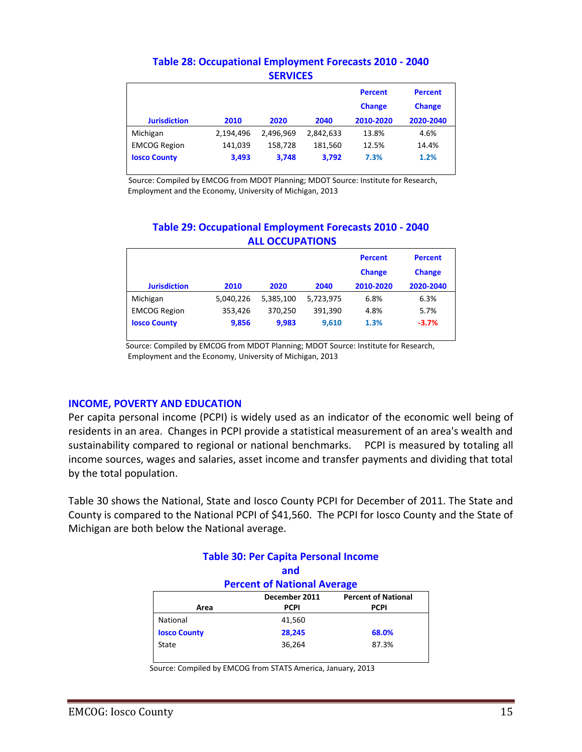|                     |           |           |           | <b>Percent</b><br><b>Change</b> | <b>Percent</b><br><b>Change</b> |
|---------------------|-----------|-----------|-----------|---------------------------------|---------------------------------|
| <b>Jurisdiction</b> | 2010      | 2020      | 2040      | 2010-2020                       | 2020-2040                       |
| Michigan            | 2,194,496 | 2.496.969 | 2,842,633 | 13.8%                           | 4.6%                            |
| <b>EMCOG Region</b> | 141,039   | 158.728   | 181,560   | 12.5%                           | 14.4%                           |
| <b>Iosco County</b> | 3,493     | 3,748     | 3,792     | 7.3%                            | 1.2%                            |

#### **Table 28: Occupational Employment Forecasts 2010 - 2040 SERVICES**

Source: Compiled by EMCOG from MDOT Planning; MDOT Source: Institute for Research, Employment and the Economy, University of Michigan, 2013

#### **Table 29: Occupational Employment Forecasts 2010 - 2040 ALL OCCUPATIONS**

|                     |           |           |           | <b>Percent</b><br><b>Change</b> | <b>Percent</b><br><b>Change</b> |
|---------------------|-----------|-----------|-----------|---------------------------------|---------------------------------|
| <b>Jurisdiction</b> | 2010      | 2020      | 2040      | 2010-2020                       | 2020-2040                       |
| Michigan            | 5,040,226 | 5,385,100 | 5,723,975 | 6.8%                            | 6.3%                            |
| <b>EMCOG Region</b> | 353,426   | 370,250   | 391,390   | 4.8%                            | 5.7%                            |
| <b>Iosco County</b> | 9,856     | 9,983     | 9,610     | 1.3%                            | $-3.7%$                         |

 Source: Compiled by EMCOG from MDOT Planning; MDOT Source: Institute for Research, Employment and the Economy, University of Michigan, 2013

#### **INCOME, POVERTY AND EDUCATION**

Per capita personal income (PCPI) is widely used as an indicator of the economic well being of residents in an area. Changes in PCPI provide a statistical measurement of an area's wealth and sustainability compared to regional or national benchmarks. PCPI is measured by totaling all income sources, wages and salaries, asset income and transfer payments and dividing that total by the total population.

Table 30 shows the National, State and Iosco County PCPI for December of 2011. The State and County is compared to the National PCPI of \$41,560. The PCPI for Iosco County and the State of Michigan are both below the National average.

|                                             | <b>Table 30: Per Capita Personal Income</b> |             |  |  |  |  |
|---------------------------------------------|---------------------------------------------|-------------|--|--|--|--|
|                                             | and                                         |             |  |  |  |  |
| <b>Percent of National Average</b>          |                                             |             |  |  |  |  |
| December 2011<br><b>Percent of National</b> |                                             |             |  |  |  |  |
| Area                                        | <b>PCPI</b>                                 | <b>PCPI</b> |  |  |  |  |
| National                                    | 41,560                                      |             |  |  |  |  |
| <b>Iosco County</b>                         | 28,245                                      | 68.0%       |  |  |  |  |
| State                                       | 36,264                                      | 87.3%       |  |  |  |  |
|                                             |                                             |             |  |  |  |  |

Source: Compiled by EMCOG from STATS America, January, 2013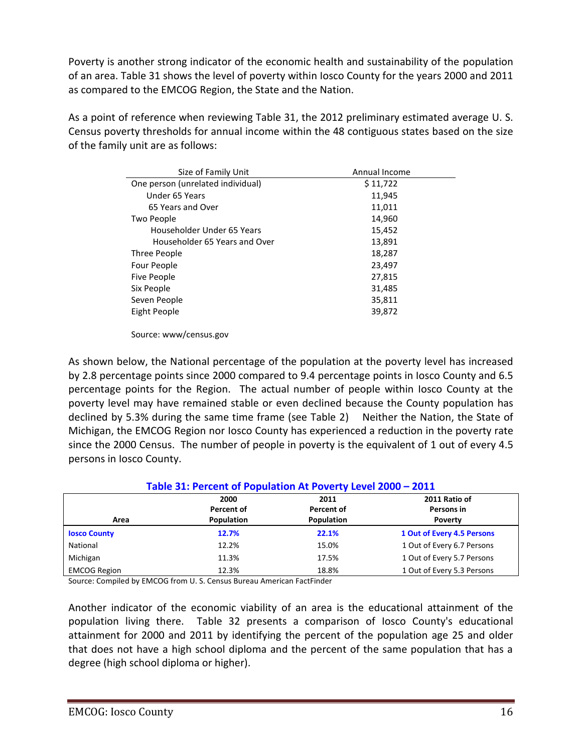Poverty is another strong indicator of the economic health and sustainability of the population of an area. Table 31 shows the level of poverty within Iosco County for the years 2000 and 2011 as compared to the EMCOG Region, the State and the Nation.

As a point of reference when reviewing Table 31, the 2012 preliminary estimated average U. S. Census poverty thresholds for annual income within the 48 contiguous states based on the size of the family unit are as follows:

| Size of Family Unit               | Annual Income |
|-----------------------------------|---------------|
| One person (unrelated individual) | \$11,722      |
| Under 65 Years                    | 11,945        |
| 65 Years and Over                 | 11,011        |
| Two People                        | 14,960        |
| Householder Under 65 Years        | 15,452        |
| Householder 65 Years and Over     | 13,891        |
| Three People                      | 18,287        |
| Four People                       | 23,497        |
| Five People                       | 27,815        |
| Six People                        | 31,485        |
| Seven People                      | 35,811        |
| Eight People                      | 39,872        |
|                                   |               |

Source: www/census.gov

As shown below, the National percentage of the population at the poverty level has increased by 2.8 percentage points since 2000 compared to 9.4 percentage points in Iosco County and 6.5 percentage points for the Region. The actual number of people within Iosco County at the poverty level may have remained stable or even declined because the County population has declined by 5.3% during the same time frame (see Table 2) Neither the Nation, the State of Michigan, the EMCOG Region nor Iosco County has experienced a reduction in the poverty rate since the 2000 Census. The number of people in poverty is the equivalent of 1 out of every 4.5 persons in Iosco County.

| Table 31: Percent of Population At Poverty Level 2000 - 2011            |            |            |                            |  |  |  |
|-------------------------------------------------------------------------|------------|------------|----------------------------|--|--|--|
| 2011 Ratio of<br>2000<br>2011<br>Percent of<br>Percent of<br>Persons in |            |            |                            |  |  |  |
| Area                                                                    | Population | Population | Poverty                    |  |  |  |
| <b>Iosco County</b>                                                     | 12.7%      | 22.1%      | 1 Out of Every 4.5 Persons |  |  |  |
| National                                                                | 12.2%      | 15.0%      | 1 Out of Every 6.7 Persons |  |  |  |
| Michigan                                                                | 11.3%      | 17.5%      | 1 Out of Every 5.7 Persons |  |  |  |
| <b>EMCOG Region</b>                                                     | 12.3%      | 18.8%      | 1 Out of Every 5.3 Persons |  |  |  |

Source: Compiled by EMCOG from U. S. Census Bureau American FactFinder

Another indicator of the economic viability of an area is the educational attainment of the population living there. Table 32 presents a comparison of Iosco County's educational attainment for 2000 and 2011 by identifying the percent of the population age 25 and older that does not have a high school diploma and the percent of the same population that has a degree (high school diploma or higher).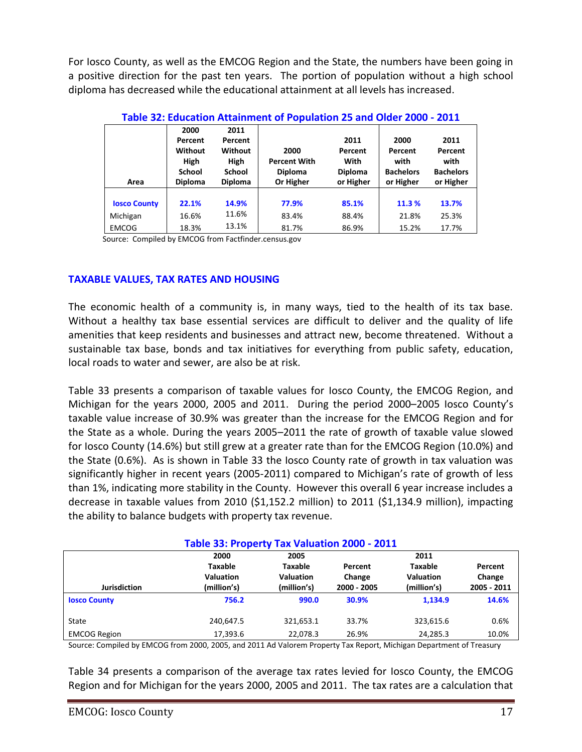For Iosco County, as well as the EMCOG Region and the State, the numbers have been going in a positive direction for the past ten years. The portion of population without a high school diploma has decreased while the educational attainment at all levels has increased.

|                     | Table 32: Education Attainment of Population 25 and Older 2000 - 2011 |                |                     |                |                  |                  |  |  |
|---------------------|-----------------------------------------------------------------------|----------------|---------------------|----------------|------------------|------------------|--|--|
|                     | 2000                                                                  | 2011           |                     |                |                  |                  |  |  |
|                     | Percent                                                               | Percent        |                     | 2011           | 2000             | 2011             |  |  |
|                     | Without                                                               | <b>Without</b> | 2000                | Percent        | Percent          | Percent          |  |  |
|                     | <b>High</b>                                                           | High           | <b>Percent With</b> | With           | with             | with             |  |  |
|                     | <b>School</b>                                                         | School         | <b>Diploma</b>      | <b>Diploma</b> | <b>Bachelors</b> | <b>Bachelors</b> |  |  |
| Area                | <b>Diploma</b>                                                        | <b>Diploma</b> | Or Higher           | or Higher      | or Higher        | or Higher        |  |  |
|                     |                                                                       |                |                     |                |                  |                  |  |  |
| <b>Iosco County</b> | 22.1%                                                                 | 14.9%          | 77.9%               | 85.1%          | 11.3 %           | 13.7%            |  |  |
| Michigan            | 16.6%                                                                 | 11.6%          | 83.4%               | 88.4%          | 21.8%            | 25.3%            |  |  |
| <b>EMCOG</b>        | 18.3%                                                                 | 13.1%          | 81.7%               | 86.9%          | 15.2%            | 17.7%            |  |  |

**Table 32: Education Attainment of Population 25 and Older 2000 - 2011**

Source: Compiled by EMCOG from Factfinder.census.gov

#### **TAXABLE VALUES, TAX RATES AND HOUSING**

The economic health of a community is, in many ways, tied to the health of its tax base. Without a healthy tax base essential services are difficult to deliver and the quality of life amenities that keep residents and businesses and attract new, become threatened. Without a sustainable tax base, bonds and tax initiatives for everything from public safety, education, local roads to water and sewer, are also be at risk.

Table 33 presents a comparison of taxable values for Iosco County, the EMCOG Region, and Michigan for the years 2000, 2005 and 2011. During the period 2000–2005 Iosco County's taxable value increase of 30.9% was greater than the increase for the EMCOG Region and for the State as a whole. During the years 2005–2011 the rate of growth of taxable value slowed for Iosco County (14.6%) but still grew at a greater rate than for the EMCOG Region (10.0%) and the State (0.6%). As is shown in Table 33 the Iosco County rate of growth in tax valuation was significantly higher in recent years (2005-2011) compared to Michigan's rate of growth of less than 1%, indicating more stability in the County. However this overall 6 year increase includes a decrease in taxable values from 2010 (\$1,152.2 million) to 2011 (\$1,134.9 million), impacting the ability to balance budgets with property tax revenue.

| Table 33: Property Tax Valuation 2000 - 2011 |                  |                  |             |                  |             |  |
|----------------------------------------------|------------------|------------------|-------------|------------------|-------------|--|
|                                              | 2000             | 2005             |             | 2011             |             |  |
|                                              | Taxable          | Taxable          | Percent     | <b>Taxable</b>   | Percent     |  |
|                                              | <b>Valuation</b> | <b>Valuation</b> | Change      | <b>Valuation</b> | Change      |  |
| <b>Jurisdiction</b>                          | (million's)      | (million's)      | 2000 - 2005 | (million's)      | 2005 - 2011 |  |
| <b>Iosco County</b>                          | 756.2            | 990.0            | 30.9%       | 1.134.9          | 14.6%       |  |
| State                                        | 240,647.5        | 321,653.1        | 33.7%       | 323,615.6        | 0.6%        |  |
| <b>EMCOG Region</b>                          | 17,393.6         | 22,078.3         | 26.9%       | 24,285.3         | 10.0%       |  |

Source: Compiled by EMCOG from 2000, 2005, and 2011 Ad Valorem Property Tax Report, Michigan Department of Treasury

Table 34 presents a comparison of the average tax rates levied for Iosco County, the EMCOG Region and for Michigan for the years 2000, 2005 and 2011. The tax rates are a calculation that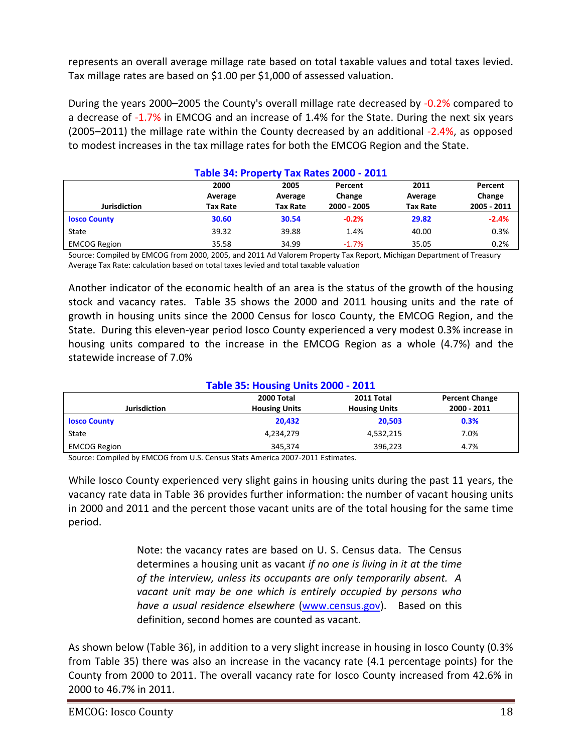represents an overall average millage rate based on total taxable values and total taxes levied. Tax millage rates are based on \$1.00 per \$1,000 of assessed valuation.

During the years 2000–2005 the County's overall millage rate decreased by -0.2% compared to a decrease of -1.7% in EMCOG and an increase of 1.4% for the State. During the next six years (2005–2011) the millage rate within the County decreased by an additional -2.4%, as opposed to modest increases in the tax millage rates for both the EMCOG Region and the State.

| Table 34: Property Tax Rates 2000 - 2011                                                        |                 |                 |             |                 |             |  |  |
|-------------------------------------------------------------------------------------------------|-----------------|-----------------|-------------|-----------------|-------------|--|--|
| 2000<br>2005<br>2011<br>Percent<br>Percent<br>Change<br>Change<br>Average<br>Average<br>Average |                 |                 |             |                 |             |  |  |
| <b>Jurisdiction</b>                                                                             | <b>Tax Rate</b> | <b>Tax Rate</b> | 2000 - 2005 | <b>Tax Rate</b> | 2005 - 2011 |  |  |
| <b>Iosco County</b>                                                                             | 30.60           | 30.54           | $-0.2%$     | 29.82           | $-2.4%$     |  |  |
| State                                                                                           | 39.32           | 39.88           | 1.4%        | 40.00           | 0.3%        |  |  |
| <b>EMCOG Region</b>                                                                             | 35.58           | 34.99           | $-1.7%$     | 35.05           | 0.2%        |  |  |

Source: Compiled by EMCOG from 2000, 2005, and 2011 Ad Valorem Property Tax Report, Michigan Department of Treasury Average Tax Rate: calculation based on total taxes levied and total taxable valuation

Another indicator of the economic health of an area is the status of the growth of the housing stock and vacancy rates. Table 35 shows the 2000 and 2011 housing units and the rate of growth in housing units since the 2000 Census for Iosco County, the EMCOG Region, and the State. During this eleven-year period Iosco County experienced a very modest 0.3% increase in housing units compared to the increase in the EMCOG Region as a whole (4.7%) and the statewide increase of 7.0%

#### **Table 35: Housing Units 2000 - 2011**

|                     | $\overline{\phantom{a}}$ |                      |                       |
|---------------------|--------------------------|----------------------|-----------------------|
|                     | 2000 Total               | 2011 Total           | <b>Percent Change</b> |
| <b>Jurisdiction</b> | <b>Housing Units</b>     | <b>Housing Units</b> | 2000 - 2011           |
| <b>Iosco County</b> | 20.432                   | 20,503               | 0.3%                  |
| State               | 4,234,279                | 4,532,215            | 7.0%                  |
| <b>EMCOG Region</b> | 345,374                  | 396,223              | 4.7%                  |

Source: Compiled by EMCOG from U.S. Census Stats America 2007-2011 Estimates.

While Iosco County experienced very slight gains in housing units during the past 11 years, the vacancy rate data in Table 36 provides further information: the number of vacant housing units in 2000 and 2011 and the percent those vacant units are of the total housing for the same time period.

> Note: the vacancy rates are based on U. S. Census data. The Census determines a housing unit as vacant *if no one is living in it at the time of the interview, unless its occupants are only temporarily absent. A vacant unit may be one which is entirely occupied by persons who have a usual residence elsewhere* [\(www.census.gov\)](http://www.census.gov/). Based on this definition, second homes are counted as vacant.

As shown below (Table 36), in addition to a very slight increase in housing in Iosco County (0.3% from Table 35) there was also an increase in the vacancy rate (4.1 percentage points) for the County from 2000 to 2011. The overall vacancy rate for Iosco County increased from 42.6% in 2000 to 46.7% in 2011.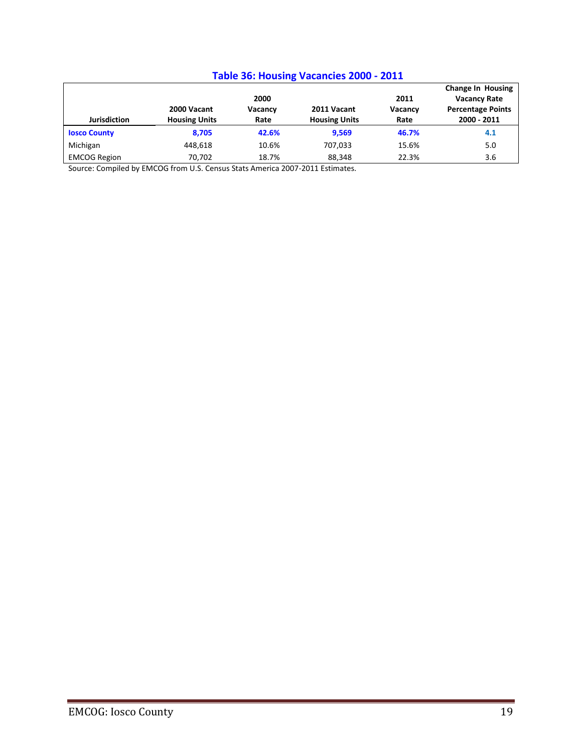## **Table 36: Housing Vacancies 2000 - 2011**

|                     |                      |                 |                      |                 | <b>Change In Housing</b>                        |
|---------------------|----------------------|-----------------|----------------------|-----------------|-------------------------------------------------|
|                     | 2000 Vacant          | 2000<br>Vacancy | 2011 Vacant          | 2011<br>Vacancy | <b>Vacancy Rate</b><br><b>Percentage Points</b> |
| <b>Jurisdiction</b> | <b>Housing Units</b> | Rate            | <b>Housing Units</b> | Rate            | 2000 - 2011                                     |
| <b>Iosco County</b> | 8.705                | 42.6%           | 9,569                | 46.7%           | 4.1                                             |
| Michigan            | 448.618              | 10.6%           | 707.033              | 15.6%           | 5.0                                             |
| <b>EMCOG Region</b> | 70.702               | 18.7%           | 88.348               | 22.3%           | 3.6                                             |

Source: Compiled by EMCOG from U.S. Census Stats America 2007-2011 Estimates.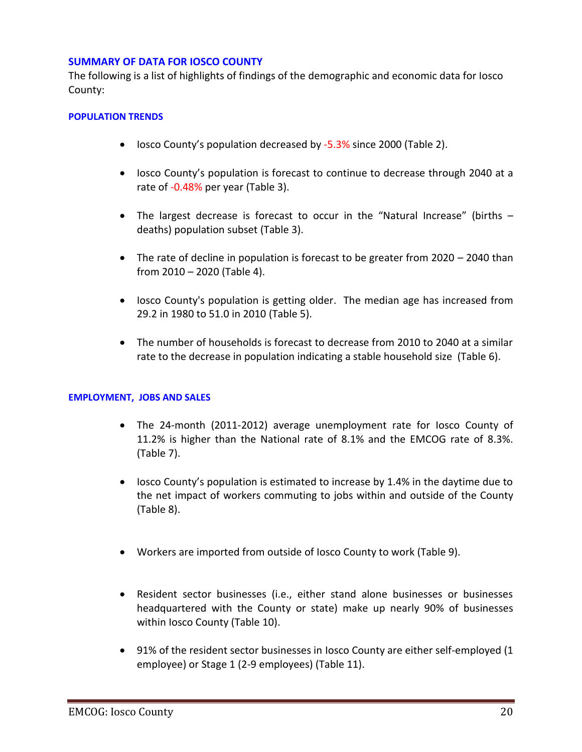#### **SUMMARY OF DATA FOR IOSCO COUNTY**

The following is a list of highlights of findings of the demographic and economic data for Iosco County:

#### **POPULATION TRENDS**

- Iosco County's population decreased by -5.3% since 2000 (Table 2).
- Iosco County's population is forecast to continue to decrease through 2040 at a rate of -0.48% per year (Table 3).
- The largest decrease is forecast to occur in the "Natural Increase" (births deaths) population subset (Table 3).
- The rate of decline in population is forecast to be greater from 2020 2040 than from 2010 – 2020 (Table 4).
- Iosco County's population is getting older. The median age has increased from 29.2 in 1980 to 51.0 in 2010 (Table 5).
- The number of households is forecast to decrease from 2010 to 2040 at a similar rate to the decrease in population indicating a stable household size (Table 6).

#### **EMPLOYMENT, JOBS AND SALES**

- The 24-month (2011-2012) average unemployment rate for Iosco County of 11.2% is higher than the National rate of 8.1% and the EMCOG rate of 8.3%. (Table 7).
- Iosco County's population is estimated to increase by 1.4% in the daytime due to the net impact of workers commuting to jobs within and outside of the County (Table 8).
- Workers are imported from outside of Iosco County to work (Table 9).
- Resident sector businesses (i.e., either stand alone businesses or businesses headquartered with the County or state) make up nearly 90% of businesses within Iosco County (Table 10).
- 91% of the resident sector businesses in Iosco County are either self-employed (1 employee) or Stage 1 (2-9 employees) (Table 11).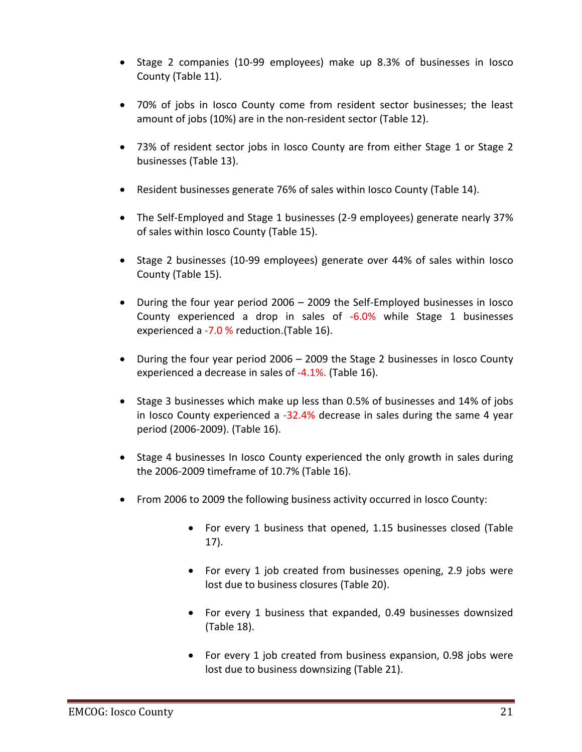- Stage 2 companies (10-99 employees) make up 8.3% of businesses in losco County (Table 11).
- 70% of jobs in Iosco County come from resident sector businesses; the least amount of jobs (10%) are in the non-resident sector (Table 12).
- 73% of resident sector jobs in Iosco County are from either Stage 1 or Stage 2 businesses (Table 13).
- Resident businesses generate 76% of sales within Iosco County (Table 14).
- The Self-Employed and Stage 1 businesses (2-9 employees) generate nearly 37% of sales within Iosco County (Table 15).
- Stage 2 businesses (10-99 employees) generate over 44% of sales within losco County (Table 15).
- During the four year period 2006 2009 the Self-Employed businesses in Iosco County experienced a drop in sales of -6.0% while Stage 1 businesses experienced a -7.0 % reduction. (Table 16).
- During the four year period 2006 2009 the Stage 2 businesses in Iosco County experienced a decrease in sales of -4.1%. (Table 16).
- Stage 3 businesses which make up less than 0.5% of businesses and 14% of jobs in Iosco County experienced a -32.4% decrease in sales during the same 4 year period (2006-2009). (Table 16).
- Stage 4 businesses In losco County experienced the only growth in sales during the 2006-2009 timeframe of 10.7% (Table 16).
- From 2006 to 2009 the following business activity occurred in Iosco County:
	- For every 1 business that opened, 1.15 businesses closed (Table 17).
	- For every 1 job created from businesses opening, 2.9 jobs were lost due to business closures (Table 20).
	- For every 1 business that expanded, 0.49 businesses downsized (Table 18).
	- For every 1 job created from business expansion, 0.98 jobs were lost due to business downsizing (Table 21).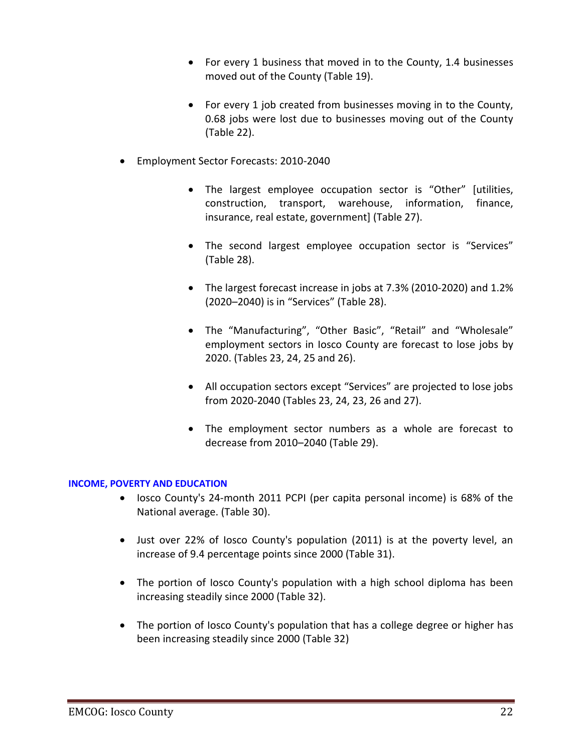- For every 1 business that moved in to the County, 1.4 businesses moved out of the County (Table 19).
- For every 1 job created from businesses moving in to the County, 0.68 jobs were lost due to businesses moving out of the County (Table 22).
- Employment Sector Forecasts: 2010-2040
	- The largest employee occupation sector is "Other" [utilities, construction, transport, warehouse, information, finance, insurance, real estate, government] (Table 27).
	- The second largest employee occupation sector is "Services" (Table 28).
	- The largest forecast increase in jobs at 7.3% (2010-2020) and 1.2% (2020–2040) is in "Services" (Table 28).
	- The "Manufacturing", "Other Basic", "Retail" and "Wholesale" employment sectors in Iosco County are forecast to lose jobs by 2020. (Tables 23, 24, 25 and 26).
	- All occupation sectors except "Services" are projected to lose jobs from 2020-2040 (Tables 23, 24, 23, 26 and 27).
	- The employment sector numbers as a whole are forecast to decrease from 2010–2040 (Table 29).

#### **INCOME, POVERTY AND EDUCATION**

- losco County's 24-month 2011 PCPI (per capita personal income) is 68% of the National average. (Table 30).
- Just over 22% of Iosco County's population (2011) is at the poverty level, an increase of 9.4 percentage points since 2000 (Table 31).
- The portion of Iosco County's population with a high school diploma has been increasing steadily since 2000 (Table 32).
- The portion of losco County's population that has a college degree or higher has been increasing steadily since 2000 (Table 32)